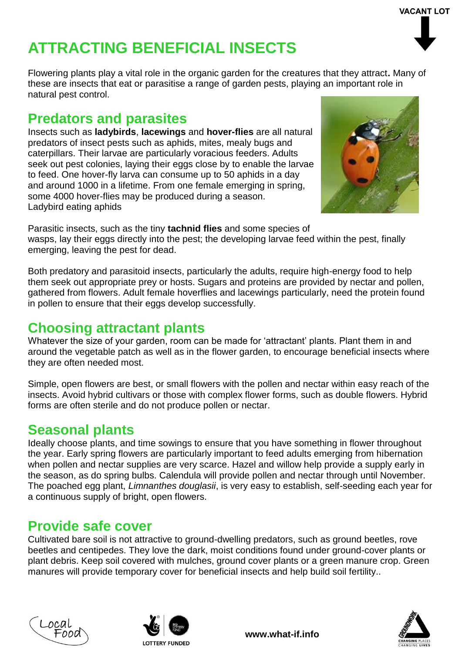# **ATTRACTING BENEFICIAL INSECTS**

Flowering plants play a vital role in the organic garden for the creatures that they attract**.** Many of these are insects that eat or parasitise a range of garden pests, playing an important role in natural pest control.

### **Predators and parasites**

Insects such as **ladybirds**, **lacewings** and **hover-flies** are all natural predators of insect pests such as aphids, mites, mealy bugs and caterpillars. Their larvae are particularly voracious feeders. Adults seek out pest colonies, laying their eggs close by to enable the larvae to feed. One hover-fly larva can consume up to 50 aphids in a day and around 1000 in a lifetime. From one female emerging in spring, some 4000 hover-flies may be produced during a season. Ladybird eating aphids

Parasitic insects, such as the tiny **tachnid flies** and some species of wasps, lay their eggs directly into the pest; the developing larvae feed within the pest, finally emerging, leaving the pest for dead.

Both predatory and parasitoid insects, particularly the adults, require high-energy food to help them seek out appropriate prey or hosts. Sugars and proteins are provided by nectar and pollen, gathered from flowers. Adult female hoverflies and lacewings particularly, need the protein found in pollen to ensure that their eggs develop successfully.

#### **Choosing attractant plants**

Whatever the size of your garden, room can be made for 'attractant' plants. Plant them in and around the vegetable patch as well as in the flower garden, to encourage beneficial insects where they are often needed most.

Simple, open flowers are best, or small flowers with the pollen and nectar within easy reach of the insects. Avoid hybrid cultivars or those with complex flower forms, such as double flowers. Hybrid forms are often sterile and do not produce pollen or nectar.

### **Seasonal plants**

Ideally choose plants, and time sowings to ensure that you have something in flower throughout the year. Early spring flowers are particularly important to feed adults emerging from hibernation when pollen and nectar supplies are very scarce. Hazel and willow help provide a supply early in the season, as do spring bulbs. Calendula will provide pollen and nectar through until November. The poached egg plant, *Limnanthes douglasii*, is very easy to establish, self-seeding each year for a continuous supply of bright, open flowers.

#### **Provide safe cover**

Cultivated bare soil is not attractive to ground-dwelling predators, such as ground beetles, rove beetles and centipedes. They love the dark, moist conditions found under ground-cover plants or plant debris. Keep soil covered with mulches, ground cover plants or a green manure crop. Green manures will provide temporary cover for beneficial insects and help build soil fertility..